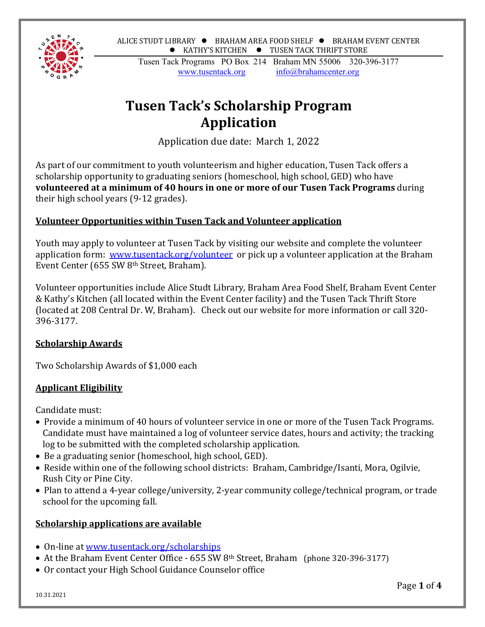ALICE STUDT LIBRARY  $\bullet$  BRAHAM AREA FOOD SHELF  $\bullet$  BRAHAM EVENT CENTER  $\bullet$  KATHY'S KITCHEN  $\bullet$  TUSEN TACK THRIFT STORE



Tusen Tack Programs PO Box 214 Braham MN 55006 320-396-3177 www.tusentack.org  $info@branch$ 

# **Tusen Tack's Scholarship Program Application**

Application due date: March 1, 2022

As part of our commitment to youth volunteerism and higher education, Tusen Tack offers a scholarship opportunity to graduating seniors (homeschool, high school, GED) who have **volunteered at a minimum of 40 hours in one or more of our Tusen Tack Programs** during their high school years (9-12 grades).

## **Volunteer Opportunities within Tusen Tack and Volunteer application**

Youth may apply to volunteer at Tusen Tack by visiting our website and complete the volunteer application form: www.tusentack.org/volunteer or pick up a volunteer application at the Braham Event Center (655 SW 8th Street, Braham).

Volunteer opportunities include Alice Studt Library, Braham Area Food Shelf, Braham Event Center & Kathy's Kitchen (all located within the Event Center facility) and the Tusen Tack Thrift Store (located at 208 Central Dr. W, Braham). Check out our website for more information or call 320- 396-3177.

# **Scholarship Awards**

Two Scholarship Awards of \$1,000 each

# **Applicant Eligibility**

Candidate must:

- Provide a minimum of 40 hours of volunteer service in one or more of the Tusen Tack Programs. Candidate must have maintained a log of volunteer service dates, hours and activity; the tracking log to be submitted with the completed scholarship application.
- Be a graduating senior (homeschool, high school, GED).
- Reside within one of the following school districts: Braham, Cambridge/Isanti, Mora, Ogilvie, Rush City or Pine City.
- Plan to attend a 4-year college/university, 2-year community college/technical program, or trade school for the upcoming fall.

# **Scholarship applications are available**

- On-line at www.tusentack.org/scholarships
- At the Braham Event Center Office 655 SW 8<sup>th</sup> Street, Braham (phone 320-396-3177)
- Or contact your High School Guidance Counselor office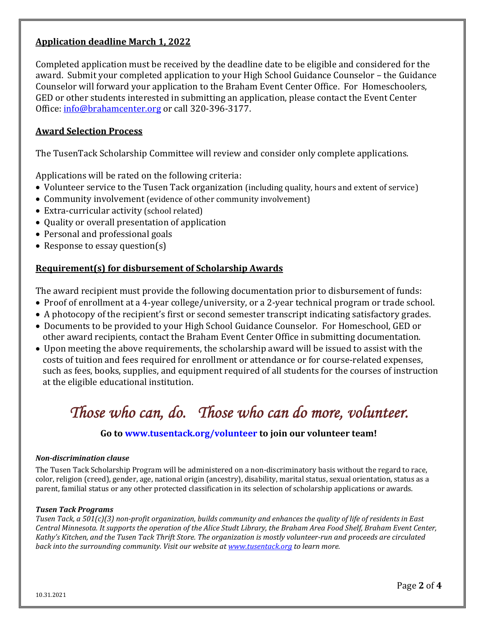## **Application deadline March 1, 2022**

Completed application must be received by the deadline date to be eligible and considered for the award. Submit your completed application to your High School Guidance Counselor – the Guidance Counselor will forward your application to the Braham Event Center Office. For Homeschoolers, GED or other students interested in submitting an application, please contact the Event Center Office: info@brahamcenter.org or call 320-396-3177.

## **Award Selection Process**

The TusenTack Scholarship Committee will review and consider only complete applications.

Applications will be rated on the following criteria:

- Volunteer service to the Tusen Tack organization (including quality, hours and extent of service)
- Community involvement (evidence of other community involvement)
- Extra-curricular activity (school related)
- Quality or overall presentation of application
- Personal and professional goals
- Response to essay question(s)

### **Requirement(s) for disbursement of Scholarship Awards**

The award recipient must provide the following documentation prior to disbursement of funds:

- Proof of enrollment at a 4-year college/university, or a 2-year technical program or trade school.
- A photocopy of the recipient's first or second semester transcript indicating satisfactory grades.
- Documents to be provided to your High School Guidance Counselor. For Homeschool, GED or other award recipients, contact the Braham Event Center Office in submitting documentation.
- Upon meeting the above requirements, the scholarship award will be issued to assist with the costs of tuition and fees required for enrollment or attendance or for course-related expenses, such as fees, books, supplies, and equipment required of all students for the courses of instruction at the eligible educational institution.

# *Those who can, do. Those who can do more, volunteer.*

## **Go to www.tusentack.org/volunteer to join our volunteer team!**

#### *Non‐discrimination clause*

The Tusen Tack Scholarship Program will be administered on a non-discriminatory basis without the regard to race, color, religion (creed), gender, age, national origin (ancestry), disability, marital status, sexual orientation, status as a parent, familial status or any other protected classification in its selection of scholarship applications or awards.

### *Tusen Tack Programs*

Tusen Tack, a 501(c)(3) non-profit organization, builds community and enhances the quality of life of residents in East Central Minnesota. It supports the operation of the Alice Studt Library, the Braham Area Food Shelf, Braham Event Center, Kathy's Kitchen, and the Tusen Tack Thrift Store. The organization is mostly volunteer-run and proceeds are circulated *back into the surrounding community. Visit our website at www.tusentack.org to learn more.*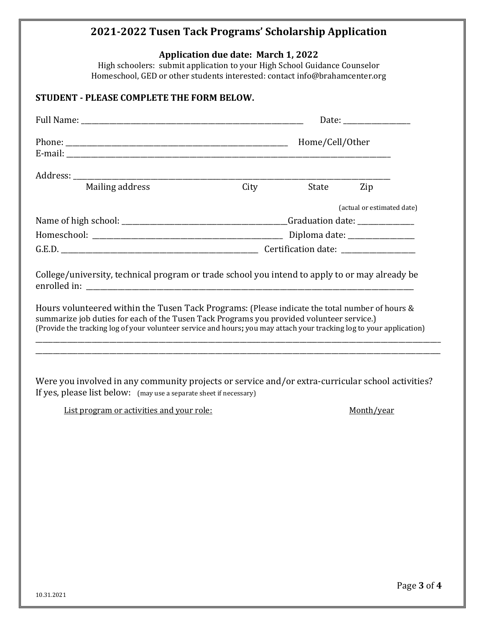# **2021‐2022 Tusen Tack Programs' Scholarship Application**

**Application due date: March 1, 2022** 

High schoolers: submit application to your High School Guidance Counselor Homeschool, GED or other students interested: contact info@brahamcenter.org

## **STUDENT ‐ PLEASE COMPLETE THE FORM BELOW.**

|                                                                                                                                                                                                                               |      |                 | Date: the contract of the contract of the contract of the contract of the contract of the contract of the contract of the contract of the contract of the contract of the contract of the contract of the contract of the cont |
|-------------------------------------------------------------------------------------------------------------------------------------------------------------------------------------------------------------------------------|------|-----------------|--------------------------------------------------------------------------------------------------------------------------------------------------------------------------------------------------------------------------------|
| E-mail: example and the set of the set of the set of the set of the set of the set of the set of the set of the set of the set of the set of the set of the set of the set of the set of the set of the set of the set of the |      | Home/Cell/Other |                                                                                                                                                                                                                                |
|                                                                                                                                                                                                                               |      |                 |                                                                                                                                                                                                                                |
| Mailing address                                                                                                                                                                                                               | City | State           | Zip                                                                                                                                                                                                                            |
|                                                                                                                                                                                                                               |      |                 | (actual or estimated date)                                                                                                                                                                                                     |
|                                                                                                                                                                                                                               |      |                 |                                                                                                                                                                                                                                |
|                                                                                                                                                                                                                               |      |                 |                                                                                                                                                                                                                                |
|                                                                                                                                                                                                                               |      |                 |                                                                                                                                                                                                                                |
| College/university, technical program or trade school you intend to apply to or may already be<br>Hours volunteered within the Tusen Tack Programs: (Please indicate the total number of hours &                              |      |                 |                                                                                                                                                                                                                                |
| summarize job duties for each of the Tusen Tack Programs you provided volunteer service.)<br>(Provide the tracking log of your volunteer service and hours; you may attach your tracking log to your application)             |      |                 |                                                                                                                                                                                                                                |
|                                                                                                                                                                                                                               |      |                 |                                                                                                                                                                                                                                |
| Were you involved in any community projects or service and/or extra-curricular school activities?<br>If yes, please list below: (may use a separate sheet if necessary)                                                       |      |                 |                                                                                                                                                                                                                                |

List program or activities and your role: Month/year Month/year

Page **3** of **4**